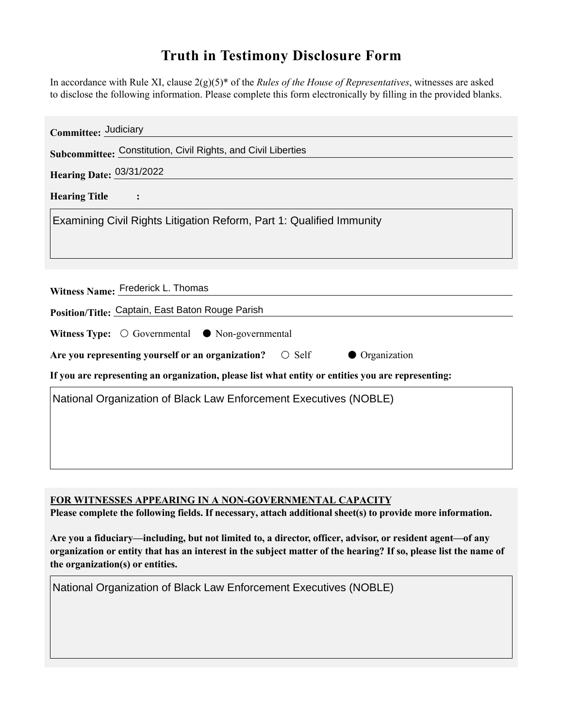## **Truth in Testimony Disclosure Form**

In accordance with Rule XI, clause 2(g)(5)\* of the *Rules of the House of Representatives*, witnesses are asked to disclose the following information. Please complete this form electronically by filling in the provided blanks.

| Committee: Judiciary                                                                               |
|----------------------------------------------------------------------------------------------------|
| Subcommittee: Constitution, Civil Rights, and Civil Liberties                                      |
| Hearing Date: 03/31/2022                                                                           |
| <b>Hearing Title</b><br>$\ddot{\cdot}$                                                             |
| Examining Civil Rights Litigation Reform, Part 1: Qualified Immunity                               |
|                                                                                                    |
|                                                                                                    |
| Witness Name: Frederick L. Thomas                                                                  |
| Position/Title: Captain, East Baton Rouge Parish                                                   |
| Witness Type: $\bigcirc$ Governmental $\bullet$ Non-governmental                                   |
| Are you representing yourself or an organization? $\bigcirc$ Self<br>• Organization                |
| If you are representing an organization, please list what entity or entities you are representing: |
| National Organization of Black Law Enforcement Executives (NOBLE)                                  |
|                                                                                                    |
|                                                                                                    |
|                                                                                                    |

**FOR WITNESSES APPEARING IN A NON-GOVERNMENTAL CAPACITY**

**Please complete the following fields. If necessary, attach additional sheet(s) to provide more information.**

**Are you a fiduciary—including, but not limited to, a director, officer, advisor, or resident agent—of any organization or entity that has an interest in the subject matter of the hearing? If so, please list the name of the organization(s) or entities.**

National Organization of Black Law Enforcement Executives (NOBLE)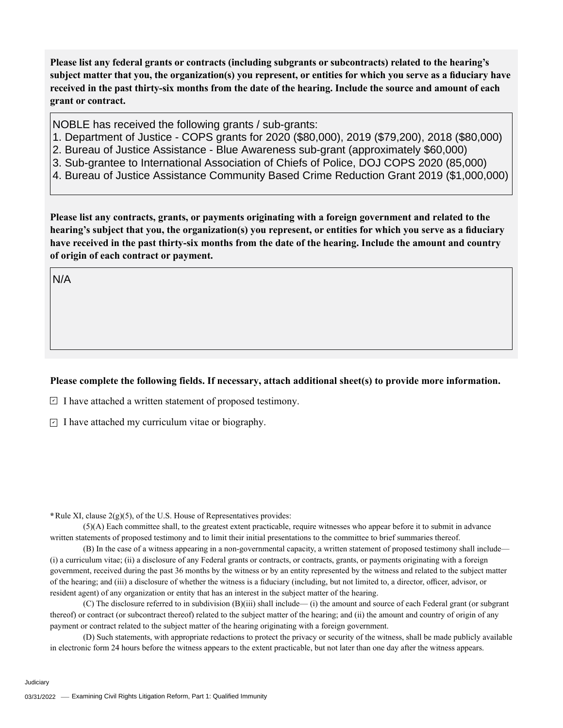**Please list any federal grants or contracts (including subgrants or subcontracts) related to the hearing's subject matter that you, the organization(s) you represent, or entities for which you serve as a fiduciary have received in the past thirty-six months from the date of the hearing. Include the source and amount of each grant or contract.** 

NOBLE has received the following grants / sub-grants:

- 1. Department of Justice COPS grants for 2020 (\$80,000), 2019 (\$79,200), 2018 (\$80,000)
- 2. Bureau of Justice Assistance Blue Awareness sub-grant (approximately \$60,000)
- 3. Sub-grantee to International Association of Chiefs of Police, DOJ COPS 2020 (85,000)
- 4. Bureau of Justice Assistance Community Based Crime Reduction Grant 2019 (\$1,000,000)

**Please list any contracts, grants, or payments originating with a foreign government and related to the hearing's subject that you, the organization(s) you represent, or entities for which you serve as a fiduciary have received in the past thirty-six months from the date of the hearing. Include the amount and country of origin of each contract or payment.** 

N/A

## **Please complete the following fields. If necessary, attach additional sheet(s) to provide more information.**

 $\exists$  I have attached a written statement of proposed testimony.

 $\subseteq$  I have attached my curriculum vitae or biography.

**\***Rule XI, clause 2(g)(5), of the U.S. House of Representatives provides:

(5)(A) Each committee shall, to the greatest extent practicable, require witnesses who appear before it to submit in advance written statements of proposed testimony and to limit their initial presentations to the committee to brief summaries thereof.

(B) In the case of a witness appearing in a non-governmental capacity, a written statement of proposed testimony shall include— (i) a curriculum vitae; (ii) a disclosure of any Federal grants or contracts, or contracts, grants, or payments originating with a foreign government, received during the past 36 months by the witness or by an entity represented by the witness and related to the subject matter of the hearing; and (iii) a disclosure of whether the witness is a fiduciary (including, but not limited to, a director, officer, advisor, or resident agent) of any organization or entity that has an interest in the subject matter of the hearing.

(C) The disclosure referred to in subdivision (B)(iii) shall include— (i) the amount and source of each Federal grant (or subgrant thereof) or contract (or subcontract thereof) related to the subject matter of the hearing; and (ii) the amount and country of origin of any payment or contract related to the subject matter of the hearing originating with a foreign government.

(D) Such statements, with appropriate redactions to protect the privacy or security of the witness, shall be made publicly available in electronic form 24 hours before the witness appears to the extent practicable, but not later than one day after the witness appears.